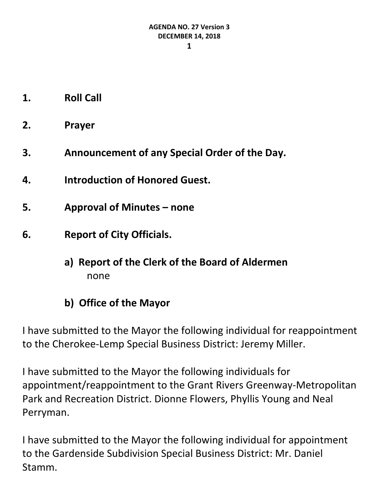- **1. Roll Call**
- **2. Prayer**
- **3. Announcement of any Special Order of the Day.**
- **4. Introduction of Honored Guest.**
- **5. Approval of Minutes – none**
- **6. Report of City Officials.**
	- **a) Report of the Clerk of the Board of Aldermen** none
	- **b) Office of the Mayor**

I have submitted to the Mayor the following individual for reappointment to the Cherokee-Lemp Special Business District: Jeremy Miller.

I have submitted to the Mayor the following individuals for appointment/reappointment to the Grant Rivers Greenway-Metropolitan Park and Recreation District. Dionne Flowers, Phyllis Young and Neal Perryman.

I have submitted to the Mayor the following individual for appointment to the Gardenside Subdivision Special Business District: Mr. Daniel Stamm.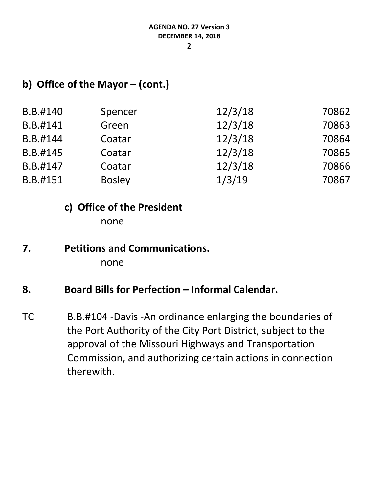### **b) Office of the Mayor – (cont.)**

| B.B.#140 | Spencer       | 12/3/18 | 70862 |
|----------|---------------|---------|-------|
| B.B.#141 | Green         | 12/3/18 | 70863 |
| B.B.#144 | Coatar        | 12/3/18 | 70864 |
| B.B.#145 | Coatar        | 12/3/18 | 70865 |
| B.B.#147 | Coatar        | 12/3/18 | 70866 |
| B.B.#151 | <b>Bosley</b> | 1/3/19  | 70867 |

#### **c) Office of the President**

none

**7. Petitions and Communications.** none

### **8. Board Bills for Perfection – Informal Calendar.**

TC B.B.#104 -Davis -An ordinance enlarging the boundaries of the Port Authority of the City Port District, subject to the approval of the Missouri Highways and Transportation Commission, and authorizing certain actions in connection therewith.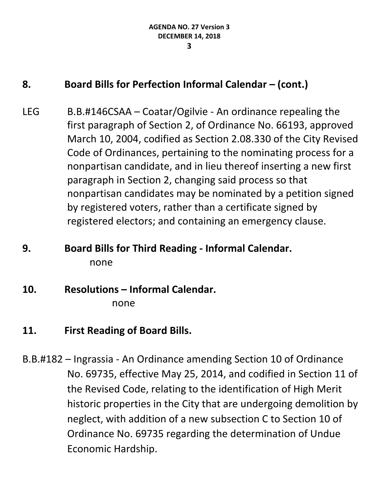### **8. Board Bills for Perfection Informal Calendar – (cont.)**

LEG B.B.#146CSAA – Coatar/Ogilvie - An ordinance repealing the first paragraph of Section 2, of Ordinance No. 66193, approved March 10, 2004, codified as Section 2.08.330 of the City Revised Code of Ordinances, pertaining to the nominating process for a nonpartisan candidate, and in lieu thereof inserting a new first paragraph in Section 2, changing said process so that nonpartisan candidates may be nominated by a petition signed by registered voters, rather than a certificate signed by registered electors; and containing an emergency clause.

# **9. Board Bills for Third Reading - Informal Calendar.** none

## **10. Resolutions – Informal Calendar.**

none

## **11. First Reading of Board Bills.**

B.B.#182 – Ingrassia - An Ordinance amending Section 10 of Ordinance No. 69735, effective May 25, 2014, and codified in Section 11 of the Revised Code, relating to the identification of High Merit historic properties in the City that are undergoing demolition by neglect, with addition of a new subsection C to Section 10 of Ordinance No. 69735 regarding the determination of Undue Economic Hardship.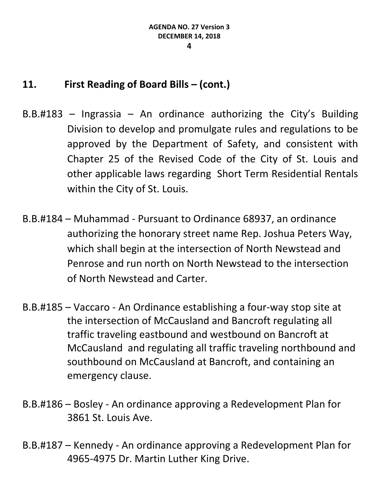### **11. First Reading of Board Bills – (cont.)**

- $B.B.#183$  Ingrassia An ordinance authorizing the City's Building Division to develop and promulgate rules and regulations to be approved by the Department of Safety, and consistent with Chapter 25 of the Revised Code of the City of St. Louis and other applicable laws regarding Short Term Residential Rentals within the City of St. Louis.
- B.B.#184 Muhammad Pursuant to Ordinance 68937, an ordinance authorizing the honorary street name Rep. Joshua Peters Way, which shall begin at the intersection of North Newstead and Penrose and run north on North Newstead to the intersection of North Newstead and Carter.
- B.B.#185 Vaccaro An Ordinance establishing a four-way stop site at the intersection of McCausland and Bancroft regulating all traffic traveling eastbound and westbound on Bancroft at McCausland and regulating all traffic traveling northbound and southbound on McCausland at Bancroft, and containing an emergency clause.
- B.B.#186 Bosley An ordinance approving a Redevelopment Plan for 3861 St. Louis Ave.
- B.B.#187 Kennedy An ordinance approving a Redevelopment Plan for 4965-4975 Dr. Martin Luther King Drive.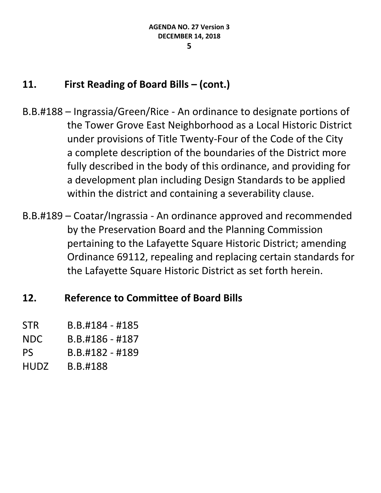## **11. First Reading of Board Bills – (cont.)**

- B.B.#188 Ingrassia/Green/Rice An ordinance to designate portions of the Tower Grove East Neighborhood as a Local Historic District under provisions of Title Twenty-Four of the Code of the City a complete description of the boundaries of the District more fully described in the body of this ordinance, and providing for a development plan including Design Standards to be applied within the district and containing a severability clause.
- B.B.#189 Coatar/Ingrassia An ordinance approved and recommended by the Preservation Board and the Planning Commission pertaining to the Lafayette Square Historic District; amending Ordinance 69112, repealing and replacing certain standards for the Lafayette Square Historic District as set forth herein.

## **12. Reference to Committee of Board Bills**

- STR B.B.#184 #185
- NDC B.B.#186 #187
- PS B.B.#182 #189
- HUDZ B.B.#188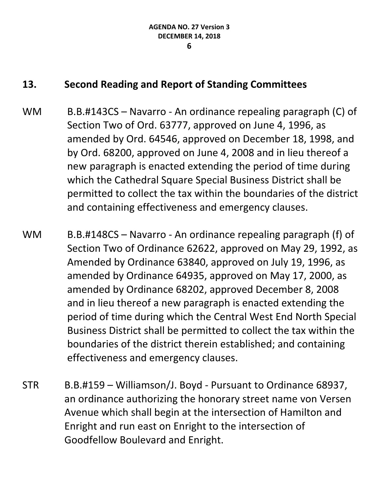#### **13. Second Reading and Report of Standing Committees**

- WM B.B.#143CS Navarro An ordinance repealing paragraph (C) of Section Two of Ord. 63777, approved on June 4, 1996, as amended by Ord. 64546, approved on December 18, 1998, and by Ord. 68200, approved on June 4, 2008 and in lieu thereof a new paragraph is enacted extending the period of time during which the Cathedral Square Special Business District shall be permitted to collect the tax within the boundaries of the district and containing effectiveness and emergency clauses.
- WM B.B.#148CS Navarro An ordinance repealing paragraph (f) of Section Two of Ordinance 62622, approved on May 29, 1992, as Amended by Ordinance 63840, approved on July 19, 1996, as amended by Ordinance 64935, approved on May 17, 2000, as amended by Ordinance 68202, approved December 8, 2008 and in lieu thereof a new paragraph is enacted extending the period of time during which the Central West End North Special Business District shall be permitted to collect the tax within the boundaries of the district therein established; and containing effectiveness and emergency clauses.
- STR B.B.#159 Williamson/J. Boyd Pursuant to Ordinance 68937, an ordinance authorizing the honorary street name von Versen Avenue which shall begin at the intersection of Hamilton and Enright and run east on Enright to the intersection of Goodfellow Boulevard and Enright.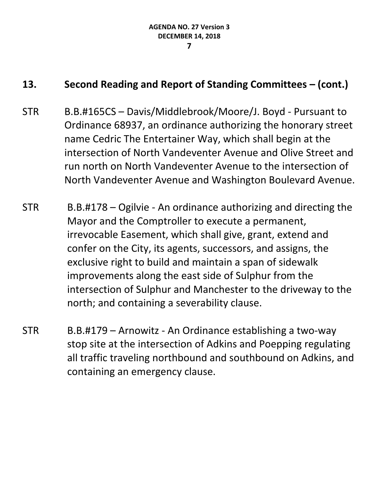### **13. Second Reading and Report of Standing Committees – (cont.)**

- STR B.B.#165CS Davis/Middlebrook/Moore/J. Boyd Pursuant to Ordinance 68937, an ordinance authorizing the honorary street name Cedric The Entertainer Way, which shall begin at the intersection of North Vandeventer Avenue and Olive Street and run north on North Vandeventer Avenue to the intersection of North Vandeventer Avenue and Washington Boulevard Avenue.
- STR B.B.#178 Ogilvie An ordinance authorizing and directing the Mayor and the Comptroller to execute a permanent, irrevocable Easement, which shall give, grant, extend and confer on the City, its agents, successors, and assigns, the exclusive right to build and maintain a span of sidewalk improvements along the east side of Sulphur from the intersection of Sulphur and Manchester to the driveway to the north; and containing a severability clause.
- STR B.B.#179 Arnowitz An Ordinance establishing a two-way stop site at the intersection of Adkins and Poepping regulating all traffic traveling northbound and southbound on Adkins, and containing an emergency clause.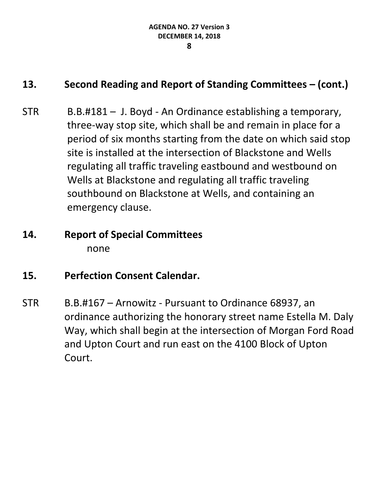### **13. Second Reading and Report of Standing Committees – (cont.)**

STR B.B.#181 – J. Boyd - An Ordinance establishing a temporary, three-way stop site, which shall be and remain in place for a period of six months starting from the date on which said stop site is installed at the intersection of Blackstone and Wells regulating all traffic traveling eastbound and westbound on Wells at Blackstone and regulating all traffic traveling southbound on Blackstone at Wells, and containing an emergency clause.

# **14. Report of Special Committees** none

## **15. Perfection Consent Calendar.**

STR B.B.#167 – Arnowitz - Pursuant to Ordinance 68937, an ordinance authorizing the honorary street name Estella M. Daly Way, which shall begin at the intersection of Morgan Ford Road and Upton Court and run east on the 4100 Block of Upton Court.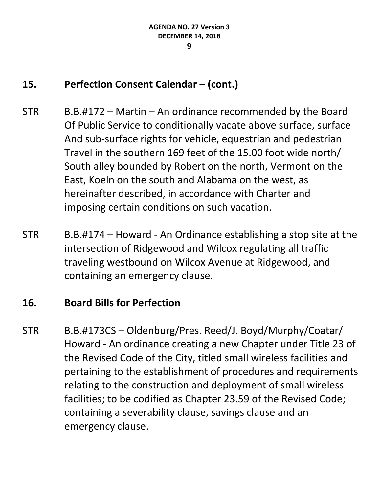### **15. Perfection Consent Calendar – (cont.)**

- STR B.B.#172 Martin An ordinance recommended by the Board Of Public Service to conditionally vacate above surface, surface And sub-surface rights for vehicle, equestrian and pedestrian Travel in the southern 169 feet of the 15.00 foot wide north/ South alley bounded by Robert on the north, Vermont on the East, Koeln on the south and Alabama on the west, as hereinafter described, in accordance with Charter and imposing certain conditions on such vacation.
- STR B.B.#174 Howard An Ordinance establishing a stop site at the intersection of Ridgewood and Wilcox regulating all traffic traveling westbound on Wilcox Avenue at Ridgewood, and containing an emergency clause.

### **16. Board Bills for Perfection**

STR B.B.#173CS – Oldenburg/Pres. Reed/J. Boyd/Murphy/Coatar/ Howard - An ordinance creating a new Chapter under Title 23 of the Revised Code of the City, titled small wireless facilities and pertaining to the establishment of procedures and requirements relating to the construction and deployment of small wireless facilities; to be codified as Chapter 23.59 of the Revised Code; containing a severability clause, savings clause and an emergency clause.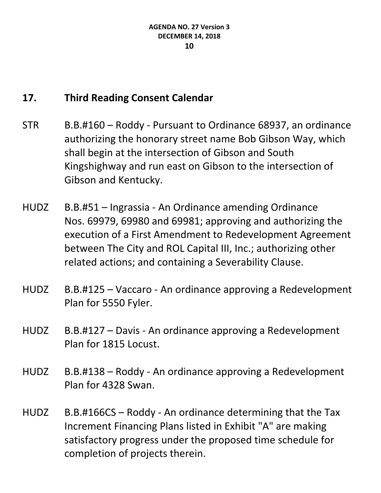## **17. Third Reading Consent Calendar**

- STR B.B.#160 Roddy Pursuant to Ordinance 68937, an ordinance authorizing the honorary street name Bob Gibson Way, which shall begin at the intersection of Gibson and South Kingshighway and run east on Gibson to the intersection of Gibson and Kentucky.
- HUDZ B.B.#51 Ingrassia An Ordinance amending Ordinance Nos. 69979, 69980 and 69981; approving and authorizing the execution of a First Amendment to Redevelopment Agreement between The City and ROL Capital III, Inc.; authorizing other related actions; and containing a Severability Clause.
- HUDZ B.B.#125 Vaccaro An ordinance approving a Redevelopment Plan for 5550 Fyler.
- HUDZ B.B.#127 Davis An ordinance approving a Redevelopment Plan for 1815 Locust.
- HUDZ B.B.#138 Roddy An ordinance approving a Redevelopment Plan for 4328 Swan.
- HUDZ B.B.#166CS Roddy An ordinance determining that the Tax Increment Financing Plans listed in Exhibit "A" are making satisfactory progress under the proposed time schedule for completion of projects therein.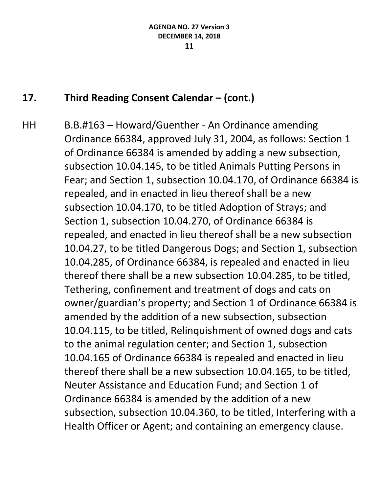HH B.B.#163 – Howard/Guenther - An Ordinance amending Ordinance 66384, approved July 31, 2004, as follows: Section 1 of Ordinance 66384 is amended by adding a new subsection, subsection 10.04.145, to be titled Animals Putting Persons in Fear; and Section 1, subsection 10.04.170, of Ordinance 66384 is repealed, and in enacted in lieu thereof shall be a new subsection 10.04.170, to be titled Adoption of Strays; and Section 1, subsection 10.04.270, of Ordinance 66384 is repealed, and enacted in lieu thereof shall be a new subsection 10.04.27, to be titled Dangerous Dogs; and Section 1, subsection 10.04.285, of Ordinance 66384, is repealed and enacted in lieu thereof there shall be a new subsection 10.04.285, to be titled, Tethering, confinement and treatment of dogs and cats on owner/guardian's property; and Section 1 of Ordinance 66384 is amended by the addition of a new subsection, subsection 10.04.115, to be titled, Relinquishment of owned dogs and cats to the animal regulation center; and Section 1, subsection 10.04.165 of Ordinance 66384 is repealed and enacted in lieu thereof there shall be a new subsection 10.04.165, to be titled, Neuter Assistance and Education Fund; and Section 1 of Ordinance 66384 is amended by the addition of a new subsection, subsection 10.04.360, to be titled, Interfering with a Health Officer or Agent; and containing an emergency clause.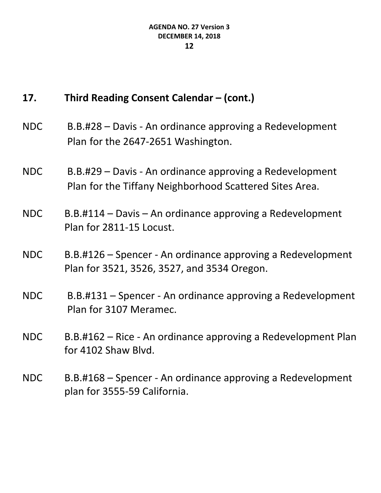- NDC B.B.#28 Davis An ordinance approving a Redevelopment Plan for the 2647-2651 Washington.
- NDC B.B.#29 Davis An ordinance approving a Redevelopment Plan for the Tiffany Neighborhood Scattered Sites Area.
- NDC B.B.#114 Davis An ordinance approving a Redevelopment Plan for 2811-15 Locust.
- NDC B.B.#126 Spencer An ordinance approving a Redevelopment Plan for 3521, 3526, 3527, and 3534 Oregon.
- NDC B.B.#131 Spencer An ordinance approving a Redevelopment Plan for 3107 Meramec.
- NDC B.B.#162 Rice An ordinance approving a Redevelopment Plan for 4102 Shaw Blvd.
- NDC B.B.#168 Spencer An ordinance approving a Redevelopment plan for 3555-59 California.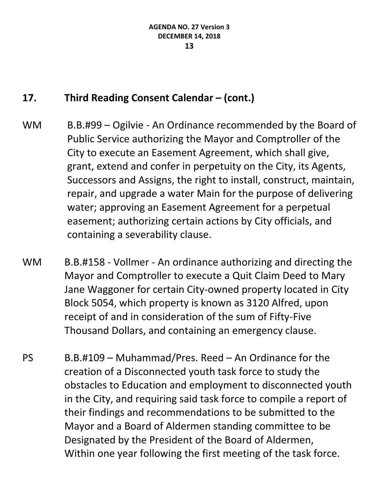- WM B.B.#99 Ogilvie An Ordinance recommended by the Board of Public Service authorizing the Mayor and Comptroller of the City to execute an Easement Agreement, which shall give, grant, extend and confer in perpetuity on the City, its Agents, Successors and Assigns, the right to install, construct, maintain, repair, and upgrade a water Main for the purpose of delivering water; approving an Easement Agreement for a perpetual easement; authorizing certain actions by City officials, and containing a severability clause.
- WM B.B.#158 Vollmer An ordinance authorizing and directing the Mayor and Comptroller to execute a Quit Claim Deed to Mary Jane Waggoner for certain City-owned property located in City Block 5054, which property is known as 3120 Alfred, upon receipt of and in consideration of the sum of Fifty-Five Thousand Dollars, and containing an emergency clause.
- PS B.B.#109 Muhammad/Pres. Reed An Ordinance for the creation of a Disconnected youth task force to study the obstacles to Education and employment to disconnected youth in the City, and requiring said task force to compile a report of their findings and recommendations to be submitted to the Mayor and a Board of Aldermen standing committee to be Designated by the President of the Board of Aldermen, Within one year following the first meeting of the task force.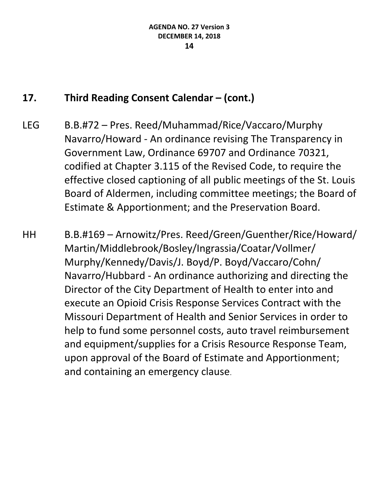- LEG B.B.#72 Pres. Reed/Muhammad/Rice/Vaccaro/Murphy Navarro/Howard - An ordinance revising The Transparency in Government Law, Ordinance 69707 and Ordinance 70321, codified at Chapter 3.115 of the Revised Code, to require the effective closed captioning of all public meetings of the St. Louis Board of Aldermen, including committee meetings; the Board of Estimate & Apportionment; and the Preservation Board.
- HH B.B.#169 Arnowitz/Pres. Reed/Green/Guenther/Rice/Howard/ Martin/Middlebrook/Bosley/Ingrassia/Coatar/Vollmer/ Murphy/Kennedy/Davis/J. Boyd/P. Boyd/Vaccaro/Cohn/ Navarro/Hubbard - An ordinance authorizing and directing the Director of the City Department of Health to enter into and execute an Opioid Crisis Response Services Contract with the Missouri Department of Health and Senior Services in order to help to fund some personnel costs, auto travel reimbursement and equipment/supplies for a Crisis Resource Response Team, upon approval of the Board of Estimate and Apportionment; and containing an emergency clause.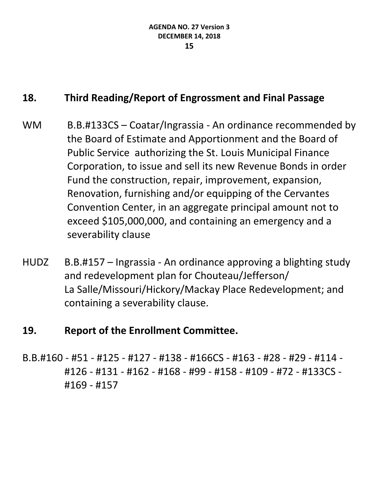## **18. Third Reading/Report of Engrossment and Final Passage**

- WM B.B.#133CS Coatar/Ingrassia An ordinance recommended by the Board of Estimate and Apportionment and the Board of Public Service authorizing the St. Louis Municipal Finance Corporation, to issue and sell its new Revenue Bonds in order Fund the construction, repair, improvement, expansion, Renovation, furnishing and/or equipping of the Cervantes Convention Center, in an aggregate principal amount not to exceed \$105,000,000, and containing an emergency and a severability clause
- HUDZ B.B.#157 Ingrassia An ordinance approving a blighting study and redevelopment plan for Chouteau/Jefferson/ La Salle/Missouri/Hickory/Mackay Place Redevelopment; and containing a severability clause.

### **19. Report of the Enrollment Committee.**

B.B.#160 - #51 - #125 - #127 - #138 - #166CS - #163 - #28 - #29 - #114 - #126 - #131 - #162 - #168 - #99 - #158 - #109 - #72 - #133CS - #169 - #157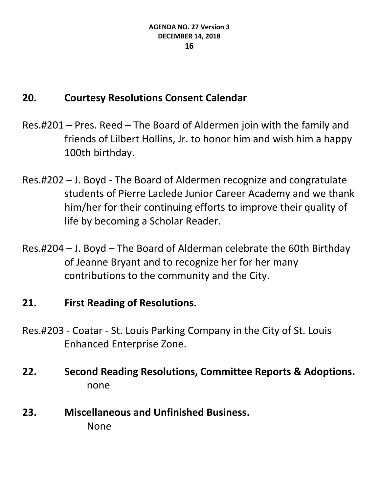## **20. Courtesy Resolutions Consent Calendar**

- Res.#201 Pres. Reed The Board of Aldermen join with the family and friends of Lilbert Hollins, Jr. to honor him and wish him a happy 100th birthday.
- Res.#202 J. Boyd The Board of Aldermen recognize and congratulate students of Pierre Laclede Junior Career Academy and we thank him/her for their continuing efforts to improve their quality of life by becoming a Scholar Reader.
- Res.#204 J. Boyd The Board of Alderman celebrate the 60th Birthday of Jeanne Bryant and to recognize her for her many contributions to the community and the City.

## **21. First Reading of Resolutions.**

- Res.#203 Coatar St. Louis Parking Company in the City of St. Louis Enhanced Enterprise Zone.
- **22. Second Reading Resolutions, Committee Reports & Adoptions.** none
- **23. Miscellaneous and Unfinished Business.** None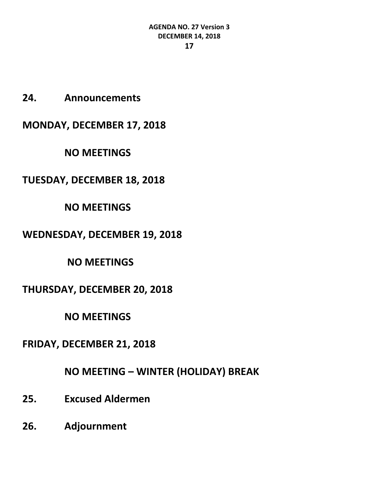**24. Announcements**

**MONDAY, DECEMBER 17, 2018**

**NO MEETINGS**

**TUESDAY, DECEMBER 18, 2018**

**NO MEETINGS**

#### **WEDNESDAY, DECEMBER 19, 2018**

**NO MEETINGS**

### **THURSDAY, DECEMBER 20, 2018**

**NO MEETINGS**

## **FRIDAY, DECEMBER 21, 2018**

## **NO MEETING – WINTER (HOLIDAY) BREAK**

- **25. Excused Aldermen**
- **26. Adjournment**